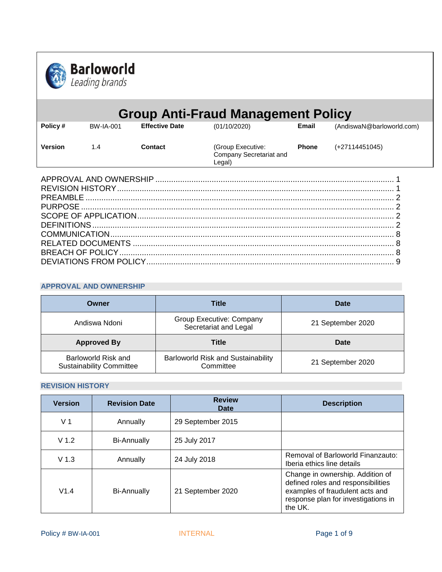

|                 |                  |                       | <b>Group Anti-Fraud Management Policy</b>              |              |                           |
|-----------------|------------------|-----------------------|--------------------------------------------------------|--------------|---------------------------|
| Policy#         | <b>BW-IA-001</b> | <b>Effective Date</b> | (01/10/2020)                                           | Email        | (AndiswaN@barloworld.com) |
| <b>Version</b>  | 1.4              | Contact               | (Group Executive:<br>Company Secretariat and<br>Legal) | <b>Phone</b> | (+27114451045)            |
|                 |                  |                       |                                                        |              |                           |
|                 |                  |                       |                                                        |              |                           |
| <b>PREAMBLE</b> |                  |                       |                                                        |              |                           |
|                 |                  |                       |                                                        |              |                           |
|                 |                  |                       |                                                        |              |                           |
|                 |                  |                       |                                                        |              |                           |
|                 |                  |                       |                                                        |              |                           |
|                 |                  |                       |                                                        |              |                           |
|                 |                  |                       |                                                        |              |                           |
| 9               |                  |                       |                                                        |              |                           |

## <span id="page-0-0"></span>**APPROVAL AND OWNERSHIP**

| Owner              | <b>Title</b>                                      | Date              |  |
|--------------------|---------------------------------------------------|-------------------|--|
| Andiswa Ndoni      | Group Executive: Company<br>Secretariat and Legal | 21 September 2020 |  |
| <b>Approved By</b> | <b>Title</b>                                      | Date              |  |
|                    |                                                   |                   |  |

# <span id="page-0-1"></span>**REVISION HISTORY**

| <b>Version</b>   | <b>Revision Date</b> | <b>Review</b><br>Date | <b>Description</b>                                                                                                                                          |
|------------------|----------------------|-----------------------|-------------------------------------------------------------------------------------------------------------------------------------------------------------|
| V <sub>1</sub>   | Annually             | 29 September 2015     |                                                                                                                                                             |
| V <sub>1.2</sub> | <b>Bi-Annually</b>   | 25 July 2017          |                                                                                                                                                             |
| V <sub>1.3</sub> | Annually             | 24 July 2018          | Removal of Barloworld Finanzauto:<br>Iberia ethics line details                                                                                             |
| V1.4             | <b>Bi-Annually</b>   | 21 September 2020     | Change in ownership. Addition of<br>defined roles and responsibilities<br>examples of fraudulent acts and<br>response plan for investigations in<br>the UK. |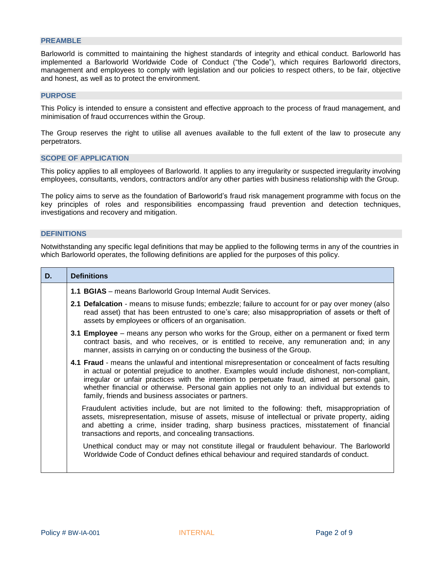### <span id="page-1-0"></span>**PREAMBLE**

Barloworld is committed to maintaining the highest standards of integrity and ethical conduct. Barloworld has implemented a Barloworld Worldwide Code of Conduct ("the Code"), which requires Barloworld directors, management and employees to comply with legislation and our policies to respect others, to be fair, objective and honest, as well as to protect the environment.

### <span id="page-1-1"></span>**PURPOSE**

This Policy is intended to ensure a consistent and effective approach to the process of fraud management, and minimisation of fraud occurrences within the Group.

The Group reserves the right to utilise all avenues available to the full extent of the law to prosecute any perpetrators.

#### <span id="page-1-2"></span>**SCOPE OF APPLICATION**

This policy applies to all employees of Barloworld. It applies to any irregularity or suspected irregularity involving employees, consultants, vendors, contractors and/or any other parties with business relationship with the Group.

The policy aims to serve as the foundation of Barloworld's fraud risk management programme with focus on the key principles of roles and responsibilities encompassing fraud prevention and detection techniques, investigations and recovery and mitigation.

## <span id="page-1-3"></span>**DEFINITIONS**

Notwithstanding any specific legal definitions that may be applied to the following terms in any of the countries in which Barloworld operates, the following definitions are applied for the purposes of this policy.

| D. | <b>Definitions</b>                                                                                                                                                                                                                                                                                                                                                                                                                                             |  |  |  |
|----|----------------------------------------------------------------------------------------------------------------------------------------------------------------------------------------------------------------------------------------------------------------------------------------------------------------------------------------------------------------------------------------------------------------------------------------------------------------|--|--|--|
|    | 1.1 BGIAS - means Barloworld Group Internal Audit Services.                                                                                                                                                                                                                                                                                                                                                                                                    |  |  |  |
|    | 2.1 Defalcation - means to misuse funds; embezzle; failure to account for or pay over money (also<br>read asset) that has been entrusted to one's care; also misappropriation of assets or theft of<br>assets by employees or officers of an organisation.                                                                                                                                                                                                     |  |  |  |
|    | 3.1 Employee – means any person who works for the Group, either on a permanent or fixed term<br>contract basis, and who receives, or is entitled to receive, any remuneration and; in any<br>manner, assists in carrying on or conducting the business of the Group.                                                                                                                                                                                           |  |  |  |
|    | 4.1 Fraud - means the unlawful and intentional misrepresentation or concealment of facts resulting<br>in actual or potential prejudice to another. Examples would include dishonest, non-compliant,<br>irregular or unfair practices with the intention to perpetuate fraud, aimed at personal gain,<br>whether financial or otherwise. Personal gain applies not only to an individual but extends to<br>family, friends and business associates or partners. |  |  |  |
|    | Fraudulent activities include, but are not limited to the following: theft, misappropriation of<br>assets, misrepresentation, misuse of assets, misuse of intellectual or private property, aiding<br>and abetting a crime, insider trading, sharp business practices, misstatement of financial<br>transactions and reports, and concealing transactions.                                                                                                     |  |  |  |
|    | Unethical conduct may or may not constitute illegal or fraudulent behaviour. The Barloworld<br>Worldwide Code of Conduct defines ethical behaviour and required standards of conduct.                                                                                                                                                                                                                                                                          |  |  |  |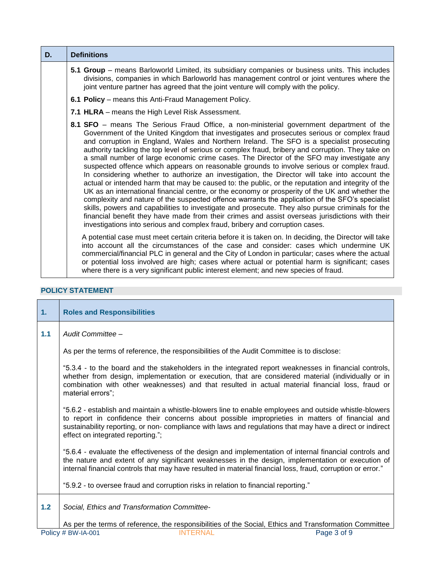| D. | <b>Definitions</b>                                                                                                                                                                                                                                                                                                                                                                                                                                                                                                                                                                                                                                                                                                                                                                                                                                                                                                                                                                                                                                                                                                                                                                                                                                                                       |
|----|------------------------------------------------------------------------------------------------------------------------------------------------------------------------------------------------------------------------------------------------------------------------------------------------------------------------------------------------------------------------------------------------------------------------------------------------------------------------------------------------------------------------------------------------------------------------------------------------------------------------------------------------------------------------------------------------------------------------------------------------------------------------------------------------------------------------------------------------------------------------------------------------------------------------------------------------------------------------------------------------------------------------------------------------------------------------------------------------------------------------------------------------------------------------------------------------------------------------------------------------------------------------------------------|
|    | 5.1 Group - means Barloworld Limited, its subsidiary companies or business units. This includes<br>divisions, companies in which Barloworld has management control or joint ventures where the<br>joint venture partner has agreed that the joint venture will comply with the policy.                                                                                                                                                                                                                                                                                                                                                                                                                                                                                                                                                                                                                                                                                                                                                                                                                                                                                                                                                                                                   |
|    | 6.1 Policy – means this Anti-Fraud Management Policy.                                                                                                                                                                                                                                                                                                                                                                                                                                                                                                                                                                                                                                                                                                                                                                                                                                                                                                                                                                                                                                                                                                                                                                                                                                    |
|    | 7.1 HLRA - means the High Level Risk Assessment.                                                                                                                                                                                                                                                                                                                                                                                                                                                                                                                                                                                                                                                                                                                                                                                                                                                                                                                                                                                                                                                                                                                                                                                                                                         |
|    | 8.1 SFO – means The Serious Fraud Office, a non-ministerial government department of the<br>Government of the United Kingdom that investigates and prosecutes serious or complex fraud<br>and corruption in England, Wales and Northern Ireland. The SFO is a specialist prosecuting<br>authority tackling the top level of serious or complex fraud, bribery and corruption. They take on<br>a small number of large economic crime cases. The Director of the SFO may investigate any<br>suspected offence which appears on reasonable grounds to involve serious or complex fraud.<br>In considering whether to authorize an investigation, the Director will take into account the<br>actual or intended harm that may be caused to: the public, or the reputation and integrity of the<br>UK as an international financial centre, or the economy or prosperity of the UK and whether the<br>complexity and nature of the suspected offence warrants the application of the SFO's specialist<br>skills, powers and capabilities to investigate and prosecute. They also pursue criminals for the<br>financial benefit they have made from their crimes and assist overseas jurisdictions with their<br>investigations into serious and complex fraud, bribery and corruption cases. |
|    | A potential case must meet certain criteria before it is taken on. In deciding, the Director will take<br>into account all the circumstances of the case and consider: cases which undermine UK<br>commercial/financial PLC in general and the City of London in particular; cases where the actual<br>or potential loss involved are high; cases where actual or potential harm is significant; cases<br>where there is a very significant public interest element; and new species of fraud.                                                                                                                                                                                                                                                                                                                                                                                                                                                                                                                                                                                                                                                                                                                                                                                           |

# **POLICY STATEMENT**

 $\blacksquare$ 

| 1.    | <b>Roles and Responsibilities</b>                                                                                                                                                                                                                                                                                                                           |
|-------|-------------------------------------------------------------------------------------------------------------------------------------------------------------------------------------------------------------------------------------------------------------------------------------------------------------------------------------------------------------|
| 1.1   | Audit Committee -                                                                                                                                                                                                                                                                                                                                           |
|       | As per the terms of reference, the responsibilities of the Audit Committee is to disclose:                                                                                                                                                                                                                                                                  |
|       | "5.3.4 - to the board and the stakeholders in the integrated report weaknesses in financial controls,<br>whether from design, implementation or execution, that are considered material (individually or in<br>combination with other weaknesses) and that resulted in actual material financial loss, fraud or<br>material errors";                        |
|       | "5.6.2 - establish and maintain a whistle-blowers line to enable employees and outside whistle-blowers<br>to report in confidence their concerns about possible improprieties in matters of financial and<br>sustainability reporting, or non- compliance with laws and regulations that may have a direct or indirect<br>effect on integrated reporting."; |
|       | "5.6.4 - evaluate the effectiveness of the design and implementation of internal financial controls and<br>the nature and extent of any significant weaknesses in the design, implementation or execution of<br>internal financial controls that may have resulted in material financial loss, fraud, corruption or error."                                 |
|       | "5.9.2 - to oversee fraud and corruption risks in relation to financial reporting."                                                                                                                                                                                                                                                                         |
| $1.2$ | Social, Ethics and Transformation Committee-                                                                                                                                                                                                                                                                                                                |
|       | As per the terms of reference, the responsibilities of the Social, Ethics and Transformation Committee                                                                                                                                                                                                                                                      |
|       | <b>INTERNAL</b><br>Page 3 of 9<br>Policy # BW-IA-001                                                                                                                                                                                                                                                                                                        |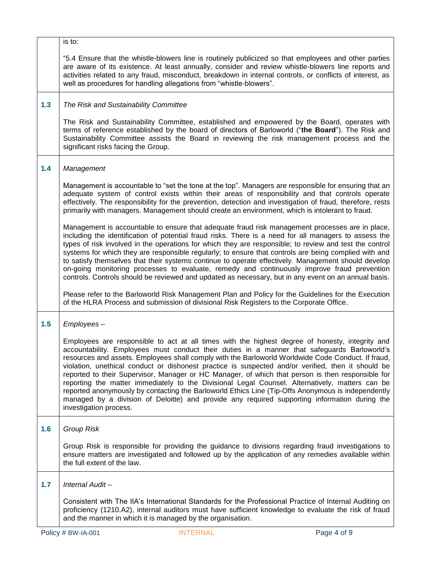|     | is to:                                                                                                                                                                                                                                                                                                                                                                                                                                                                                                                                                                                                                                                                                                                                                                                                                                               |
|-----|------------------------------------------------------------------------------------------------------------------------------------------------------------------------------------------------------------------------------------------------------------------------------------------------------------------------------------------------------------------------------------------------------------------------------------------------------------------------------------------------------------------------------------------------------------------------------------------------------------------------------------------------------------------------------------------------------------------------------------------------------------------------------------------------------------------------------------------------------|
|     | "5.4 Ensure that the whistle-blowers line is routinely publicized so that employees and other parties<br>are aware of its existence. At least annually, consider and review whistle-blowers line reports and<br>activities related to any fraud, misconduct, breakdown in internal controls, or conflicts of interest, as<br>well as procedures for handling allegations from "whistle-blowers".                                                                                                                                                                                                                                                                                                                                                                                                                                                     |
| 1.3 | The Risk and Sustainability Committee                                                                                                                                                                                                                                                                                                                                                                                                                                                                                                                                                                                                                                                                                                                                                                                                                |
|     | The Risk and Sustainability Committee, established and empowered by the Board, operates with<br>terms of reference established by the board of directors of Barloworld ("the Board"). The Risk and<br>Sustainability Committee assists the Board in reviewing the risk management process and the<br>significant risks facing the Group.                                                                                                                                                                                                                                                                                                                                                                                                                                                                                                             |
| 1.4 | Management                                                                                                                                                                                                                                                                                                                                                                                                                                                                                                                                                                                                                                                                                                                                                                                                                                           |
|     | Management is accountable to "set the tone at the top". Managers are responsible for ensuring that an<br>adequate system of control exists within their areas of responsibility and that controls operate<br>effectively. The responsibility for the prevention, detection and investigation of fraud, therefore, rests<br>primarily with managers. Management should create an environment, which is intolerant to fraud.                                                                                                                                                                                                                                                                                                                                                                                                                           |
|     | Management is accountable to ensure that adequate fraud risk management processes are in place,<br>including the identification of potential fraud risks. There is a need for all managers to assess the<br>types of risk involved in the operations for which they are responsible; to review and test the control<br>systems for which they are responsible regularly; to ensure that controls are being complied with and<br>to satisfy themselves that their systems continue to operate effectively. Management should develop<br>on-going monitoring processes to evaluate, remedy and continuously improve fraud prevention<br>controls. Controls should be reviewed and updated as necessary, but in any event on an annual basis.                                                                                                           |
|     | Please refer to the Barloworld Risk Management Plan and Policy for the Guidelines for the Execution<br>of the HLRA Process and submission of divisional Risk Registers to the Corporate Office.                                                                                                                                                                                                                                                                                                                                                                                                                                                                                                                                                                                                                                                      |
| 1.5 | Employees-                                                                                                                                                                                                                                                                                                                                                                                                                                                                                                                                                                                                                                                                                                                                                                                                                                           |
|     | Employees are responsible to act at all times with the highest degree of honesty, integrity and<br>accountability. Employees must conduct their duties in a manner that safeguards Barloworld's<br>resources and assets. Employees shall comply with the Barloworld Worldwide Code Conduct. If fraud,<br>violation, unethical conduct or dishonest practice is suspected and/or verified, then it should be<br>reported to their Supervisor, Manager or HC Manager, of which that person is then responsible for<br>reporting the matter immediately to the Divisional Legal Counsel. Alternatively, matters can be<br>reported anonymously by contacting the Barloworld Ethics Line (Tip-Offs Anonymous is independently<br>managed by a division of Deloitte) and provide any required supporting information during the<br>investigation process. |
| 1.6 | <b>Group Risk</b>                                                                                                                                                                                                                                                                                                                                                                                                                                                                                                                                                                                                                                                                                                                                                                                                                                    |
|     | Group Risk is responsible for providing the guidance to divisions regarding fraud investigations to<br>ensure matters are investigated and followed up by the application of any remedies available within<br>the full extent of the law.                                                                                                                                                                                                                                                                                                                                                                                                                                                                                                                                                                                                            |
| 1.7 | Internal Audit-                                                                                                                                                                                                                                                                                                                                                                                                                                                                                                                                                                                                                                                                                                                                                                                                                                      |
|     | Consistent with The IIA's International Standards for the Professional Practice of Internal Auditing on<br>proficiency (1210.A2), internal auditors must have sufficient knowledge to evaluate the risk of fraud<br>and the manner in which it is managed by the organisation.                                                                                                                                                                                                                                                                                                                                                                                                                                                                                                                                                                       |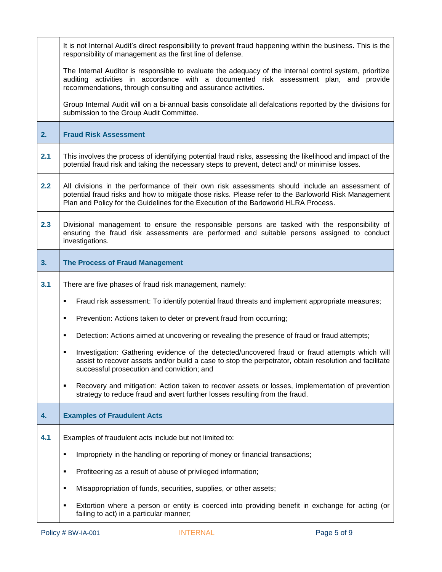|     | It is not Internal Audit's direct responsibility to prevent fraud happening within the business. This is the<br>responsibility of management as the first line of defense.                                                                                                                      |  |
|-----|-------------------------------------------------------------------------------------------------------------------------------------------------------------------------------------------------------------------------------------------------------------------------------------------------|--|
|     | The Internal Auditor is responsible to evaluate the adequacy of the internal control system, prioritize<br>auditing activities in accordance with a documented risk assessment plan, and provide<br>recommendations, through consulting and assurance activities.                               |  |
|     | Group Internal Audit will on a bi-annual basis consolidate all defalcations reported by the divisions for<br>submission to the Group Audit Committee.                                                                                                                                           |  |
| 2.  | <b>Fraud Risk Assessment</b>                                                                                                                                                                                                                                                                    |  |
| 2.1 | This involves the process of identifying potential fraud risks, assessing the likelihood and impact of the<br>potential fraud risk and taking the necessary steps to prevent, detect and/ or minimise losses.                                                                                   |  |
| 2.2 | All divisions in the performance of their own risk assessments should include an assessment of<br>potential fraud risks and how to mitigate those risks. Please refer to the Barloworld Risk Management<br>Plan and Policy for the Guidelines for the Execution of the Barloworld HLRA Process. |  |
| 2.3 | Divisional management to ensure the responsible persons are tasked with the responsibility of<br>ensuring the fraud risk assessments are performed and suitable persons assigned to conduct<br>investigations.                                                                                  |  |
| 3.  | <b>The Process of Fraud Management</b>                                                                                                                                                                                                                                                          |  |
| 3.1 | There are five phases of fraud risk management, namely:                                                                                                                                                                                                                                         |  |
|     | Fraud risk assessment: To identify potential fraud threats and implement appropriate measures;<br>٠                                                                                                                                                                                             |  |
|     | Prevention: Actions taken to deter or prevent fraud from occurring;<br>٠                                                                                                                                                                                                                        |  |
|     | Detection: Actions aimed at uncovering or revealing the presence of fraud or fraud attempts;<br>٠                                                                                                                                                                                               |  |
|     | Investigation: Gathering evidence of the detected/uncovered fraud or fraud attempts which will<br>assist to recover assets and/or build a case to stop the perpetrator, obtain resolution and facilitate<br>successful prosecution and conviction; and                                          |  |
|     | Recovery and mitigation: Action taken to recover assets or losses, implementation of prevention<br>٠<br>strategy to reduce fraud and avert further losses resulting from the fraud.                                                                                                             |  |
| 4.  | <b>Examples of Fraudulent Acts</b>                                                                                                                                                                                                                                                              |  |
| 4.1 | Examples of fraudulent acts include but not limited to:                                                                                                                                                                                                                                         |  |
|     | Impropriety in the handling or reporting of money or financial transactions;<br>٠                                                                                                                                                                                                               |  |
|     | Profiteering as a result of abuse of privileged information;<br>$\blacksquare$                                                                                                                                                                                                                  |  |
|     | Misappropriation of funds, securities, supplies, or other assets;<br>٠                                                                                                                                                                                                                          |  |
|     | Extortion where a person or entity is coerced into providing benefit in exchange for acting (or<br>٠<br>failing to act) in a particular manner;                                                                                                                                                 |  |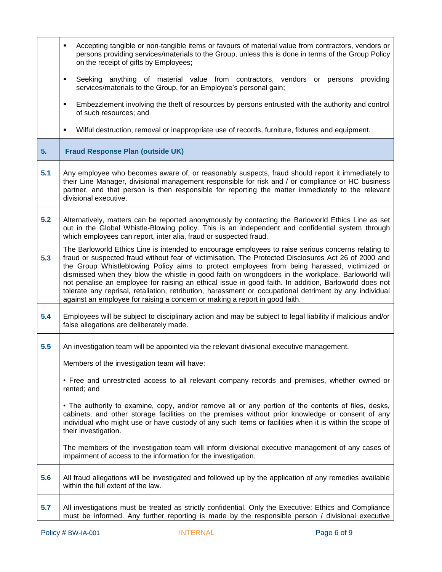|     | Accepting tangible or non-tangible items or favours of material value from contractors, vendors or<br>٠<br>persons providing services/materials to the Group, unless this is done in terms of the Group Policy<br>on the receipt of gifts by Employees;                                                                                                                                                                                                                                                                                                                                                                                                                                                              |
|-----|----------------------------------------------------------------------------------------------------------------------------------------------------------------------------------------------------------------------------------------------------------------------------------------------------------------------------------------------------------------------------------------------------------------------------------------------------------------------------------------------------------------------------------------------------------------------------------------------------------------------------------------------------------------------------------------------------------------------|
|     | Seeking anything of material value from contractors, vendors or persons<br>providing<br>٠<br>services/materials to the Group, for an Employee's personal gain;                                                                                                                                                                                                                                                                                                                                                                                                                                                                                                                                                       |
|     | Embezzlement involving the theft of resources by persons entrusted with the authority and control<br>٠<br>of such resources; and                                                                                                                                                                                                                                                                                                                                                                                                                                                                                                                                                                                     |
|     | Wilful destruction, removal or inappropriate use of records, furniture, fixtures and equipment.<br>٠                                                                                                                                                                                                                                                                                                                                                                                                                                                                                                                                                                                                                 |
| 5.  | <b>Fraud Response Plan (outside UK)</b>                                                                                                                                                                                                                                                                                                                                                                                                                                                                                                                                                                                                                                                                              |
| 5.1 | Any employee who becomes aware of, or reasonably suspects, fraud should report it immediately to<br>their Line Manager, divisional management responsible for risk and / or compliance or HC business<br>partner, and that person is then responsible for reporting the matter immediately to the relevant<br>divisional executive.                                                                                                                                                                                                                                                                                                                                                                                  |
| 5.2 | Alternatively, matters can be reported anonymously by contacting the Barloworld Ethics Line as set<br>out in the Global Whistle-Blowing policy. This is an independent and confidential system through<br>which employees can report, inter alia, fraud or suspected fraud.                                                                                                                                                                                                                                                                                                                                                                                                                                          |
| 5.3 | The Barloworld Ethics Line is intended to encourage employees to raise serious concerns relating to<br>fraud or suspected fraud without fear of victimisation. The Protected Disclosures Act 26 of 2000 and<br>the Group Whistleblowing Policy aims to protect employees from being harassed, victimized or<br>dismissed when they blow the whistle in good faith on wrongdoers in the workplace. Barloworld will<br>not penalise an employee for raising an ethical issue in good faith. In addition, Barloworld does not<br>tolerate any reprisal, retaliation, retribution, harassment or occupational detriment by any individual<br>against an employee for raising a concern or making a report in good faith. |
| 5.4 | Employees will be subject to disciplinary action and may be subject to legal liability if malicious and/or<br>false allegations are deliberately made.                                                                                                                                                                                                                                                                                                                                                                                                                                                                                                                                                               |
| 5.5 | An investigation team will be appointed via the relevant divisional executive management.                                                                                                                                                                                                                                                                                                                                                                                                                                                                                                                                                                                                                            |
|     | Members of the investigation team will have:                                                                                                                                                                                                                                                                                                                                                                                                                                                                                                                                                                                                                                                                         |
|     | • Free and unrestricted access to all relevant company records and premises, whether owned or<br>rented; and                                                                                                                                                                                                                                                                                                                                                                                                                                                                                                                                                                                                         |
|     | • The authority to examine, copy, and/or remove all or any portion of the contents of files, desks,<br>cabinets, and other storage facilities on the premises without prior knowledge or consent of any<br>individual who might use or have custody of any such items or facilities when it is within the scope of<br>their investigation.                                                                                                                                                                                                                                                                                                                                                                           |
|     | The members of the investigation team will inform divisional executive management of any cases of<br>impairment of access to the information for the investigation.                                                                                                                                                                                                                                                                                                                                                                                                                                                                                                                                                  |
| 5.6 | All fraud allegations will be investigated and followed up by the application of any remedies available<br>within the full extent of the law.                                                                                                                                                                                                                                                                                                                                                                                                                                                                                                                                                                        |
| 5.7 | All investigations must be treated as strictly confidential. Only the Executive: Ethics and Compliance<br>must be informed. Any further reporting is made by the responsible person / divisional executive                                                                                                                                                                                                                                                                                                                                                                                                                                                                                                           |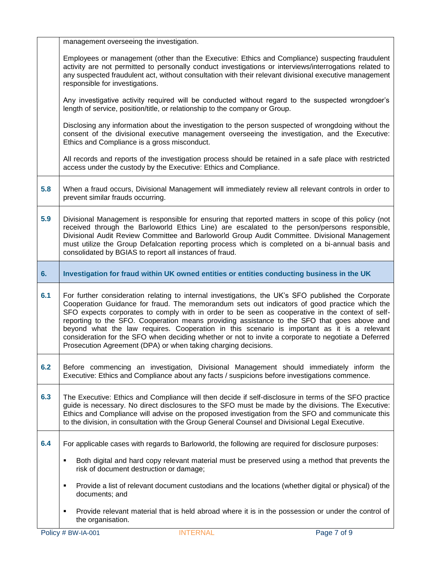|     | management overseeing the investigation.                                                                                                                                                                                                                                                                                                                                                                                                                                                                                                                                                                                                                                         |
|-----|----------------------------------------------------------------------------------------------------------------------------------------------------------------------------------------------------------------------------------------------------------------------------------------------------------------------------------------------------------------------------------------------------------------------------------------------------------------------------------------------------------------------------------------------------------------------------------------------------------------------------------------------------------------------------------|
|     | Employees or management (other than the Executive: Ethics and Compliance) suspecting fraudulent<br>activity are not permitted to personally conduct investigations or interviews/interrogations related to<br>any suspected fraudulent act, without consultation with their relevant divisional executive management<br>responsible for investigations.                                                                                                                                                                                                                                                                                                                          |
|     | Any investigative activity required will be conducted without regard to the suspected wrongdoer's<br>length of service, position/title, or relationship to the company or Group.                                                                                                                                                                                                                                                                                                                                                                                                                                                                                                 |
|     | Disclosing any information about the investigation to the person suspected of wrongdoing without the<br>consent of the divisional executive management overseeing the investigation, and the Executive:<br>Ethics and Compliance is a gross misconduct.                                                                                                                                                                                                                                                                                                                                                                                                                          |
|     | All records and reports of the investigation process should be retained in a safe place with restricted<br>access under the custody by the Executive: Ethics and Compliance.                                                                                                                                                                                                                                                                                                                                                                                                                                                                                                     |
| 5.8 | When a fraud occurs, Divisional Management will immediately review all relevant controls in order to<br>prevent similar frauds occurring.                                                                                                                                                                                                                                                                                                                                                                                                                                                                                                                                        |
| 5.9 | Divisional Management is responsible for ensuring that reported matters in scope of this policy (not<br>received through the Barloworld Ethics Line) are escalated to the person/persons responsible,<br>Divisional Audit Review Committee and Barloworld Group Audit Committee. Divisional Management<br>must utilize the Group Defalcation reporting process which is completed on a bi-annual basis and<br>consolidated by BGIAS to report all instances of fraud.                                                                                                                                                                                                            |
| 6.  | Investigation for fraud within UK owned entities or entities conducting business in the UK                                                                                                                                                                                                                                                                                                                                                                                                                                                                                                                                                                                       |
|     |                                                                                                                                                                                                                                                                                                                                                                                                                                                                                                                                                                                                                                                                                  |
| 6.1 | For further consideration relating to internal investigations, the UK's SFO published the Corporate<br>Cooperation Guidance for fraud. The memorandum sets out indicators of good practice which the<br>SFO expects corporates to comply with in order to be seen as cooperative in the context of self-<br>reporting to the SFO. Cooperation means providing assistance to the SFO that goes above and<br>beyond what the law requires. Cooperation in this scenario is important as it is a relevant<br>consideration for the SFO when deciding whether or not to invite a corporate to negotiate a Deferred<br>Prosecution Agreement (DPA) or when taking charging decisions. |
| 6.2 | Before commencing an investigation, Divisional Management should immediately inform the<br>Executive: Ethics and Compliance about any facts / suspicions before investigations commence.                                                                                                                                                                                                                                                                                                                                                                                                                                                                                         |
| 6.3 | The Executive: Ethics and Compliance will then decide if self-disclosure in terms of the SFO practice<br>guide is necessary. No direct disclosures to the SFO must be made by the divisions. The Executive:<br>Ethics and Compliance will advise on the proposed investigation from the SFO and communicate this<br>to the division, in consultation with the Group General Counsel and Divisional Legal Executive.                                                                                                                                                                                                                                                              |
| 6.4 | For applicable cases with regards to Barloworld, the following are required for disclosure purposes:                                                                                                                                                                                                                                                                                                                                                                                                                                                                                                                                                                             |
|     | Both digital and hard copy relevant material must be preserved using a method that prevents the<br>٠<br>risk of document destruction or damage;                                                                                                                                                                                                                                                                                                                                                                                                                                                                                                                                  |
|     | Provide a list of relevant document custodians and the locations (whether digital or physical) of the<br>٠<br>documents; and                                                                                                                                                                                                                                                                                                                                                                                                                                                                                                                                                     |
|     | Provide relevant material that is held abroad where it is in the possession or under the control of<br>٠<br>the organisation.                                                                                                                                                                                                                                                                                                                                                                                                                                                                                                                                                    |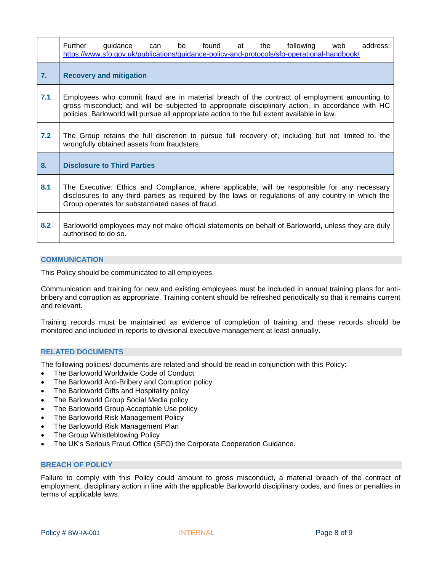|     | Further<br>guidance<br>found at<br>the<br>following<br>address:<br>be<br>can<br>web<br>https://www.sfo.gov.uk/publications/guidance-policy-and-protocols/sfo-operational-handbook/                                                                                                                |  |  |
|-----|---------------------------------------------------------------------------------------------------------------------------------------------------------------------------------------------------------------------------------------------------------------------------------------------------|--|--|
| 7.  | <b>Recovery and mitigation</b>                                                                                                                                                                                                                                                                    |  |  |
| 7.1 | Employees who commit fraud are in material breach of the contract of employment amounting to<br>gross misconduct; and will be subjected to appropriate disciplinary action, in accordance with HC<br>policies. Barloworld will pursue all appropriate action to the full extent available in law. |  |  |
| 7.2 | The Group retains the full discretion to pursue full recovery of, including but not limited to, the<br>wrongfully obtained assets from fraudsters.                                                                                                                                                |  |  |
| 8.  | <b>Disclosure to Third Parties</b>                                                                                                                                                                                                                                                                |  |  |
| 8.1 | The Executive: Ethics and Compliance, where applicable, will be responsible for any necessary<br>disclosures to any third parties as required by the laws or regulations of any country in which the<br>Group operates for substantiated cases of fraud.                                          |  |  |
| 8.2 | Barloworld employees may not make official statements on behalf of Barloworld, unless they are duly<br>authorised to do so.                                                                                                                                                                       |  |  |

### <span id="page-7-0"></span>**COMMUNICATION**

This Policy should be communicated to all employees.

Communication and training for new and existing employees must be included in annual training plans for antibribery and corruption as appropriate. Training content should be refreshed periodically so that it remains current and relevant.

Training records must be maintained as evidence of completion of training and these records should be monitored and included in reports to divisional executive management at least annually.

#### <span id="page-7-1"></span>**RELATED DOCUMENTS**

The following policies/ documents are related and should be read in conjunction with this Policy:

- The Barloworld Worldwide Code of Conduct
- The Barloworld Anti-Bribery and Corruption policy
- The Barloworld Gifts and Hospitality policy
- The Barloworld Group Social Media policy
- The Barloworld Group Acceptable Use policy
- The Barloworld Risk Management Policy
- The Barloworld Risk Management Plan
- The Group Whistleblowing Policy
- <span id="page-7-2"></span>The UK's Serious Fraud Office (SFO) the Corporate Cooperation Guidance.

#### **BREACH OF POLICY**

Failure to comply with this Policy could amount to gross misconduct, a material breach of the contract of employment, disciplinary action in line with the applicable Barloworld disciplinary codes, and fines or penalties in terms of applicable laws.